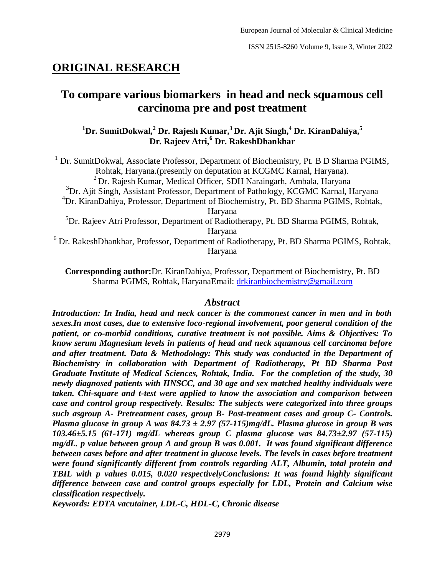# **ORIGINAL RESEARCH**

# **To compare various biomarkers in head and neck squamous cell carcinoma pre and post treatment**

# **<sup>1</sup>Dr. SumitDokwal,<sup>2</sup> Dr. Rajesh Kumar,<sup>3</sup>Dr. Ajit Singh,<sup>4</sup> Dr. KiranDahiya,<sup>5</sup> Dr. Rajeev Atri,<sup>6</sup> Dr. RakeshDhankhar**

<sup>1</sup> Dr. SumitDokwal, Associate Professor, Department of Biochemistry, Pt. B D Sharma PGIMS, Rohtak, Haryana.(presently on deputation at KCGMC Karnal, Haryana). <sup>2</sup>Dr. Rajesh Kumar, Medical Officer, SDH Naraingarh, Ambala, Haryana <sup>3</sup>Dr. Ajit Singh, Assistant Professor, Department of Pathology, KCGMC Karnal, Haryana <sup>4</sup>Dr. KiranDahiya, Professor, Department of Biochemistry, Pt. BD Sharma PGIMS, Rohtak, Haryana <sup>5</sup>Dr. Rajeev Atri Professor, Department of Radiotherapy, Pt. BD Sharma PGIMS, Rohtak, Haryana <sup>6</sup> Dr. RakeshDhankhar, Professor, Department of Radiotherapy, Pt. BD Sharma PGIMS, Rohtak, Haryana

**Corresponding author:**Dr. KiranDahiya, Professor, Department of Biochemistry, Pt. BD Sharma PGIMS, Rohtak, HaryanaEmail: [drkiranbiochemistry@gmail.com](about:blank)

#### *Abstract*

*Introduction: In India, head and neck cancer is the commonest cancer in men and in both sexes.In most cases, due to extensive loco-regional involvement, poor general condition of the patient, or co-morbid conditions, curative treatment is not possible. Aims & Objectives: To know serum Magnesium levels in patients of head and neck squamous cell carcinoma before and after treatment. Data & Methodology: This study was conducted in the Department of Biochemistry in collaboration with Department of Radiotherapy, Pt BD Sharma Post Graduate Institute of Medical Sciences, Rohtak, India. For the completion of the study, 30 newly diagnosed patients with HNSCC, and 30 age and sex matched healthy individuals were taken. Chi-square and t-test were applied to know the association and comparison between case and control group respectively. Results: The subjects were categorized into three groups such asgroup A- Pretreatment cases, group B- Post-treatment cases and group C- Controls. Plasma glucose in group A was 84.73 ± 2.97 (57-115)mg/dL. Plasma glucose in group B was 103.46±5.15 (61-171) mg/dL whereas group C plasma glucose was 84.73±2.97 (57-115) mg/dL. p value between group A and group B was 0.001. It was found significant difference between cases before and after treatment in glucose levels. The levels in cases before treatment were found significantly different from controls regarding ALT, Albumin, total protein and TBIL with p values 0.015, 0.020 respectivelyConclusions: It was found highly significant difference between case and control groups especially for LDL, Protein and Calcium wise classification respectively.* 

*Keywords: EDTA vacutainer, LDL-C, HDL-C, Chronic disease*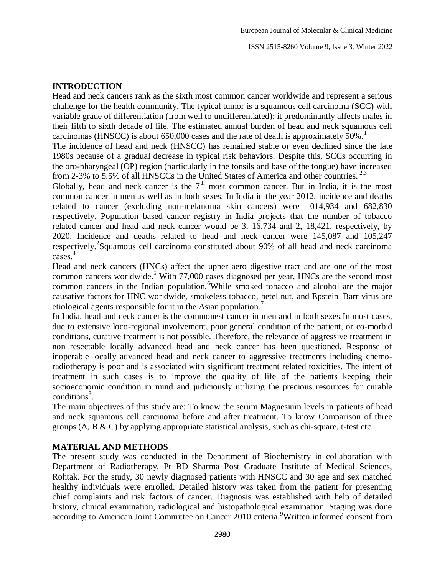#### **INTRODUCTION**

Head and neck cancers rank as the sixth most common cancer worldwide and represent a serious challenge for the health community. The typical tumor is a squamous cell carcinoma (SCC) with variable grade of differentiation (from well to undifferentiated); it predominantly affects males in their fifth to sixth decade of life. The estimated annual burden of head and neck squamous cell carcinomas (HNSCC) is about 650,000 cases and the rate of death is approximately  $50\%$ .<sup>1</sup>

The incidence of head and neck (HNSCC) has remained stable or even declined since the late 1980s because of a gradual decrease in typical risk behaviors. Despite this, SCCs occurring in the oro-pharyngeal (OP) region (particularly in the tonsils and base of the tongue) have increased from 2-3% to 5.5% of all HNSCCs in the United States of America and other countries.<sup>2,3</sup>

Globally, head and neck cancer is the  $7<sup>th</sup>$  most common cancer. But in India, it is the most common cancer in men as well as in both sexes. In India in the year 2012, incidence and deaths related to cancer (excluding non-melanoma skin cancers) were 1014,934 and 682,830 respectively. Population based cancer registry in India projects that the number of tobacco related cancer and head and neck cancer would be 3, 16,734 and 2, 18,421, respectively, by 2020. Incidence and deaths related to head and neck cancer were 145,087 and 105,247 respectively.<sup>2</sup>Squamous cell carcinoma constituted about 90% of all head and neck carcinoma cases. 4

Head and neck cancers (HNCs) affect the upper aero digestive tract and are one of the most common cancers worldwide.<sup>5</sup> With 77,000 cases diagnosed per year, HNCs are the second most common cancers in the Indian population.<sup>6</sup>While smoked tobacco and alcohol are the major causative factors for HNC worldwide, smokeless tobacco, betel nut, and Epstein–Barr virus are etiological agents responsible for it in the Asian population.<sup>7</sup>

In India, head and neck cancer is the commonest cancer in men and in both sexes.In most cases, due to extensive loco-regional involvement, poor general condition of the patient, or co-morbid conditions, curative treatment is not possible. Therefore, the relevance of aggressive treatment in non resectable locally advanced head and neck cancer has been questioned. Response of inoperable locally advanced head and neck cancer to aggressive treatments including chemoradiotherapy is poor and is associated with significant treatment related toxicities. The intent of treatment in such cases is to improve the quality of life of the patients keeping their socioeconomic condition in mind and judiciously utilizing the precious resources for curable conditions<sup>8</sup>.

The main objectives of this study are: To know the serum Magnesium levels in patients of head and neck squamous cell carcinoma before and after treatment. To know Comparison of three groups  $(A, B \& C)$  by applying appropriate statistical analysis, such as chi-square, t-test etc.

#### **MATERIAL AND METHODS**

The present study was conducted in the Department of Biochemistry in collaboration with Department of Radiotherapy, Pt BD Sharma Post Graduate Institute of Medical Sciences, Rohtak. For the study, 30 newly diagnosed patients with HNSCC and 30 age and sex matched healthy individuals were enrolled. Detailed history was taken from the patient for presenting chief complaints and risk factors of cancer. Diagnosis was established with help of detailed history, clinical examination, radiological and histopathological examination. Staging was done according to American Joint Committee on Cancer 2010 criteria.<sup>9</sup>Written informed consent from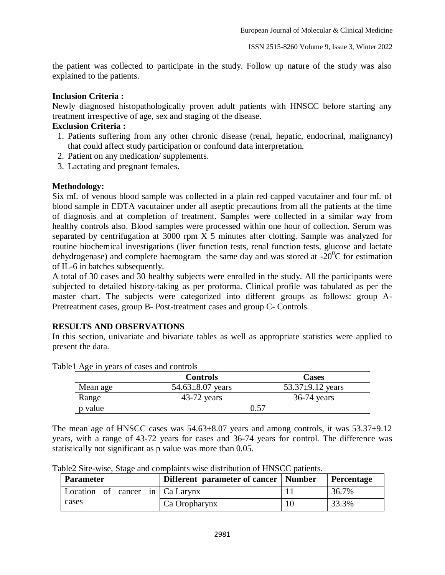the patient was collected to participate in the study. Follow up nature of the study was also explained to the patients.

#### **Inclusion Criteria :**

Newly diagnosed histopathologically proven adult patients with HNSCC before starting any treatment irrespective of age, sex and staging of the disease.

#### **Exclusion Criteria :**

- 1. Patients suffering from any other chronic disease (renal, hepatic, endocrinal, malignancy) that could affect study participation or confound data interpretation.
- 2. Patient on any medication/ supplements.
- 3. Lactating and pregnant females.

## **Methodology:**

Six mL of venous blood sample was collected in a plain red capped vacutainer and four mL of blood sample in EDTA vacutainer under all aseptic precautions from all the patients at the time of diagnosis and at completion of treatment. Samples were collected in a similar way from healthy controls also. Blood samples were processed within one hour of collection. Serum was separated by centrifugation at  $3000$  rpm  $\overline{X}$  5 minutes after clotting. Sample was analyzed for routine biochemical investigations (liver function tests, renal function tests, glucose and lactate dehydrogenase) and complete haemogram the same day and was stored at  $-20^{\circ}$ C for estimation of IL-6 in batches subsequently.

A total of 30 cases and 30 healthy subjects were enrolled in the study. All the participants were subjected to detailed history-taking as per proforma. Clinical profile was tabulated as per the master chart. The subjects were categorized into different groups as follows: group A-Pretreatment cases, group B- Post-treatment cases and group C- Controls.

## **RESULTS AND OBSERVATIONS**

In this section, univariate and bivariate tables as well as appropriate statistics were applied to present the data.

|          | <b>Controls</b>        | Cases                  |
|----------|------------------------|------------------------|
| Mean age | $54.63 \pm 8.07$ years | 53.37 $\pm$ 9.12 years |
| Range    | $43-72$ years          | $36-74$ years          |
| p value  |                        | 0.57                   |

Table1 Age in years of cases and controls

The mean age of HNSCC cases was  $54.63\pm8.07$  years and among controls, it was  $53.37\pm9.12$ years, with a range of 43-72 years for cases and 36-74 years for control. The difference was statistically not significant as p value was more than 0.05.

Table2 Site-wise, Stage and complaints wise distribution of HNSCC patients.

| <b>Parameter</b>                        | Different parameter of cancer   Number | Percentage |
|-----------------------------------------|----------------------------------------|------------|
| Location of cancer in $\vert$ Ca Larynx |                                        | 36.7%      |
| cases                                   | Ca Oropharynx                          | 33.3%      |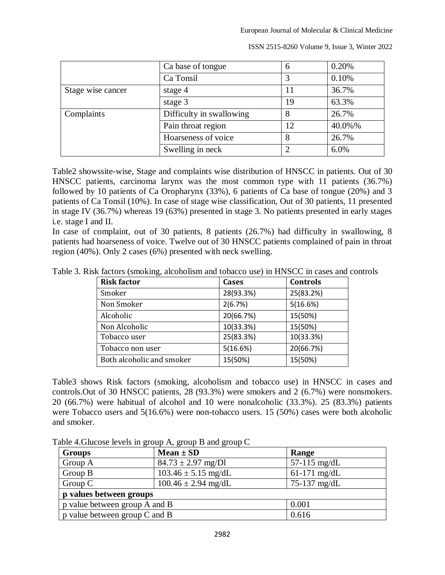European Journal of Molecular & Clinical Medicine

|                              | Ca base of tongue        | 6  | 0.20%  |
|------------------------------|--------------------------|----|--------|
|                              | Ca Tonsil                |    | 0.10%  |
| Stage wise cancer<br>stage 4 |                          |    | 36.7%  |
|                              | stage 3                  | 19 | 63.3%  |
| Complaints                   | Difficulty in swallowing | 8  | 26.7%  |
|                              | Pain throat region       | 12 | 40.0%% |
|                              | Hoarseness of voice      | 8  | 26.7%  |
|                              | Swelling in neck         |    | 6.0%   |

ISSN 2515-8260 Volume 9, Issue 3, Winter 2022

Table2 showssite-wise, Stage and complaints wise distribution of HNSCC in patients. Out of 30 HNSCC patients, carcinoma larynx was the most common type with 11 patients (36.7%) followed by 10 patients of Ca Oropharynx (33%), 6 patients of Ca base of tongue (20%) and 3 patients of Ca Tonsil (10%). In case of stage wise classification, Out of 30 patients, 11 presented in stage IV (36.7%) whereas 19 (63%) presented in stage 3. No patients presented in early stages i.e. stage I and II.

In case of complaint, out of 30 patients, 8 patients (26.7%) had difficulty in swallowing, 8 patients had hoarseness of voice. Twelve out of 30 HNSCC patients complained of pain in throat region (40%). Only 2 cases (6%) presented with neck swelling.

| <b>Risk factor</b>        | <b>Cases</b> | <b>Controls</b> |
|---------------------------|--------------|-----------------|
| Smoker                    | 28(93.3%)    | 25(83.2%)       |
| Non Smoker                | 2(6.7%)      | 5(16.6%)        |
| Alcoholic                 | 20(66.7%)    | 15(50%)         |
| Non Alcoholic             | 10(33.3%)    | 15(50%)         |
| Tobacco user              | 25(83.3%)    | 10(33.3%)       |
| Tobacco non user          | 5(16.6%)     | 20(66.7%)       |
| Both alcoholic and smoker | 15(50%)      | 15(50%)         |

Table3 shows Risk factors (smoking, alcoholism and tobacco use) in HNSCC in cases and controls.Out of 30 HNSCC patients, 28 (93.3%) were smokers and 2 (6.7%) were nonsmokers. 20 (66.7%) were habitual of alcohol and 10 were nonalcoholic (33.3%). 25 (83.3%) patients were Tobacco users and 5(16.6%) were non-tobacco users. 15 (50%) cases were both alcoholic and smoker.

Table 4.Glucose levels in group A, group B and group C

| <b>Groups</b>                          | $Mean \pm SD$           | Range          |  |  |
|----------------------------------------|-------------------------|----------------|--|--|
| Group A                                | $84.73 \pm 2.97$ mg/Dl  | $57-115$ mg/dL |  |  |
| Group B                                | $103.46 \pm 5.15$ mg/dL | $61-171$ mg/dL |  |  |
| Group C                                | $100.46 \pm 2.94$ mg/dL | 75-137 mg/dL   |  |  |
| p values between groups                |                         |                |  |  |
| p value between group A and B<br>0.001 |                         |                |  |  |
| p value between group C and B          |                         | 0.616          |  |  |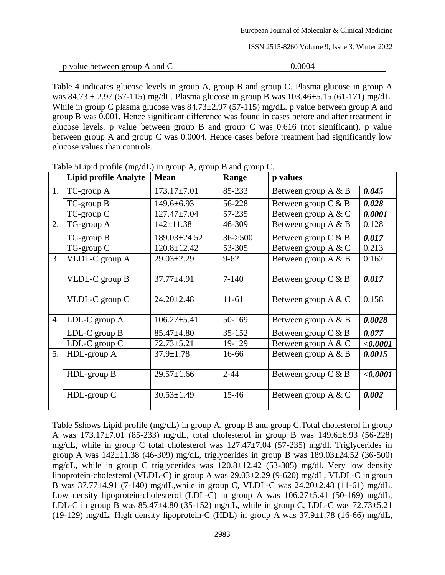| and<br>  p value between group .<br>A<br>$\ddot{\phantom{0}}$ | 0.0004 |
|---------------------------------------------------------------|--------|
|                                                               |        |

Table 4 indicates glucose levels in group A, group B and group C. Plasma glucose in group A was  $84.73 \pm 2.97$  (57-115) mg/dL. Plasma glucose in group B was  $103.46 \pm 5.15$  (61-171) mg/dL. While in group C plasma glucose was  $84.73 \pm 2.97$  (57-115) mg/dL, p value between group A and group B was 0.001. Hence significant difference was found in cases before and after treatment in glucose levels. p value between group B and group C was 0.616 (not significant). p value between group A and group C was 0.0004. Hence cases before treatment had significantly low glucose values than controls.

|    | <b>Lipid profile Analyte</b> | <b>Mean</b>       | Range      | p values               |          |
|----|------------------------------|-------------------|------------|------------------------|----------|
| 1. | TC-group A                   | $173.17 \pm 7.01$ | 85-233     | Between group $A \& B$ | 0.045    |
|    | TC-group B                   | $149.6 \pm 6.93$  | 56-228     | Between group $C & B$  | 0.028    |
|    | TC-group C                   | $127.47 \pm 7.04$ | 57-235     | Between group $A \& C$ | 0.0001   |
| 2. | TG-group A                   | $142 \pm 11.38$   | 46-309     | Between group $A \& B$ | 0.128    |
|    | TG-group B                   | 189.03±24.52      | $36 - 500$ | Between group $C & B$  | 0.017    |
|    | TG-group C                   | $120.8 \pm 12.42$ | 53-305     | Between group A & C    | 0.213    |
| 3. | VLDL-C group A               | $29.03 \pm 2.29$  | $9 - 62$   | Between group A & B    | 0.162    |
|    | VLDL-C group B               | $37.77 \pm 4.91$  | $7 - 140$  | Between group $C & B$  | 0.017    |
|    | VLDL-C group C               | $24.20 \pm 2.48$  | $11-61$    | Between group A & C    | 0.158    |
| 4. | LDL-C group A                | $106.27 \pm 5.41$ | 50-169     | Between group $A \& B$ | 0.0028   |
|    | LDL-C group B                | $85.47 \pm 4.80$  | $35 - 152$ | Between group C & B    | 0.077    |
|    | LDL-C group C                | $72.73 \pm 5.21$  | 19-129     | Between group A & C    | < 0.0001 |
| 5. | HDL-group A                  | $37.9 \pm 1.78$   | 16-66      | Between group $A \& B$ | 0.0015   |
|    | HDL-group B                  | $29.57 \pm 1.66$  | $2 - 44$   | Between group $C & B$  | <,0.0001 |
|    | $HDL$ -group $C$             | $30.53 \pm 1.49$  | $15 - 46$  | Between group $A \& C$ | 0.002    |

Table 5Lipid profile (mg/dL) in group A, group B and group C.

Table 5shows Lipid profile (mg/dL) in group A, group B and group C.Total cholesterol in group A was 173.17±7.01 (85-233) mg/dL, total cholesterol in group B was 149.6±6.93 (56-228) mg/dL, while in group C total cholesterol was 127.47±7.04 (57-235) mg/dl. Triglycerides in group A was  $142\pm11.38$  (46-309) mg/dL, triglycerides in group B was  $189.03\pm24.52$  (36-500) mg/dL, while in group C triglycerides was 120.8±12.42 (53-305) mg/dl. Very low density lipoprotein-cholesterol (VLDL-C) in group A was 29.03±2.29 (9-620) mg/dL, VLDL-C in group B was 37.77±4.91 (7-140) mg/dL,while in group C, VLDL-C was 24.20±2.48 (11-61) mg/dL. Low density lipoprotein-cholesterol (LDL-C) in group A was  $106.27 \pm 5.41$  (50-169) mg/dL, LDL-C in group B was  $85.47\pm4.80$  (35-152) mg/dL, while in group C, LDL-C was  $72.73\pm5.21$ (19-129) mg/dL. High density lipoprotein-C (HDL) in group A was  $37.9\pm1.78$  (16-66) mg/dL,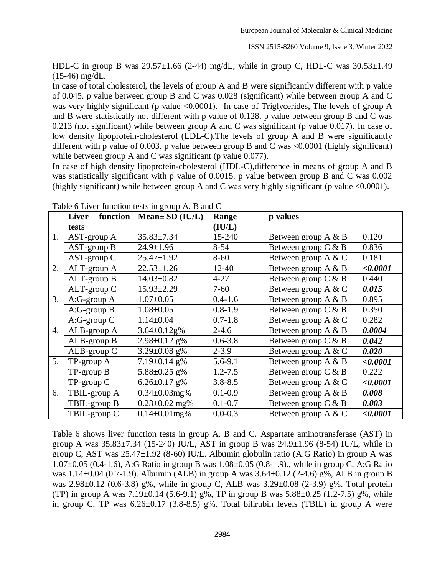HDL-C in group B was  $29.57\pm1.66$  (2-44) mg/dL, while in group C, HDL-C was  $30.53\pm1.49$ (15-46) mg/dL.

In case of total cholesterol, the levels of group A and B were significantly different with p value of 0.045. p value between group B and C was 0.028 (significant) while between group A and C was very highly significant (p value <0.0001). In case of Triglycerides**,** The levels of group A and B were statistically not different with p value of 0.128. p value between group B and C was 0.213 (not significant) while between group A and C was significant (p value 0.017). In case of low density lipoprotein-cholesterol (LDL-C),The levels of group A and B were significantly different with p value of 0.003. p value between group B and C was <0.0001 (highly significant) while between group A and C was significant (p value 0.077).

In case of high density lipoprotein-cholesterol (HDL-C), difference in means of group A and B was statistically significant with p value of 0.0015. p value between group B and C was 0.002 (highly significant) while between group A and C was very highly significant (p value  $\leq 0.0001$ ).

|                  | function<br>Liver    | $Mean \pm SD$ (IU/L) | Range       | p values               |          |
|------------------|----------------------|----------------------|-------------|------------------------|----------|
|                  | tests                |                      | (IU/L)      |                        |          |
| 1.               | $AST-group A$        | $35.83 \pm 7.34$     | 15-240      | Between group $A \& B$ | 0.120    |
|                  | $AST-group B$        | $24.9 \pm 1.96$      | $8 - 54$    | Between group $C & B$  | 0.836    |
|                  | AST-group C          | $25.47 \pm 1.92$     | $8 - 60$    | Between group A & C    | 0.181    |
| 2.               | ALT-group A          | $22.53 \pm 1.26$     | $12 - 40$   | Between group A & B    | < 0.0001 |
|                  | ALT-group B          | $14.03 \pm 0.82$     | $4 - 27$    | Between group $C & B$  | 0.440    |
|                  | ALT-group C          | $15.93 \pm 2.29$     | $7 - 60$    | Between group A & C    | 0.015    |
| 3.               | A:G-group A          | $1.07 \pm 0.05$      | $0.4 - 1.6$ | Between group A & B    | 0.895    |
|                  | $A:G\text{-}group B$ | $1.08 \pm 0.05$      | $0.8 - 1.9$ | Between group $C & B$  | 0.350    |
|                  | A:G-group C          | $1.14 \pm 0.04$      | $0.7 - 1.8$ | Between group $A \& C$ | 0.282    |
| $\overline{4}$ . | ALB-group A          | $3.64 \pm 0.12$ g%   | $2 - 4.6$   | Between group A & B    | 0.0004   |
|                  | ALB-group B          | $2.98 \pm 0.12$ g%   | $0.6 - 3.8$ | Between group $C & B$  | 0.042    |
|                  | ALB-group C          | 3.29 $\pm$ 0.08 g%   | $2 - 3.9$   | Between group A & C    | 0.020    |
| 5.               | TP-group A           | $7.19 \pm 0.14$ g%   | 5.6-9.1     | Between group A & B    | < 0.0001 |
|                  | TP-group B           | $5.88 \pm 0.25$ g%   | $1.2 - 7.5$ | Between group $C & B$  | 0.222    |
|                  | TP-group C           | $6.26 \pm 0.17$ g%   | $3.8 - 8.5$ | Between group A & C    | < 0.0001 |
| 6.               | TBIL-group A         | $0.34 \pm 0.03$ mg%  | $0.1 - 0.9$ | Between group A & B    | 0.008    |
|                  | TBIL-group B         | $0.23 \pm 0.02$ mg%  | $0.1 - 0.7$ | Between group $C & B$  | 0.003    |
|                  | TBIL-group C         | $0.14 \pm 0.01$ mg%  | $0.0 - 0.3$ | Between group $A \& C$ | <,0.0001 |

Table 6 Liver function tests in group A, B and C

Table 6 shows liver function tests in group A, B and C. Aspartate aminotransferase (AST) in group A was  $35.83\pm7.34$  (15-240) IU/L, AST in group B was  $24.9\pm1.96$  (8-54) IU/L, while in group C, AST was 25.47±1.92 (8-60) IU/L. Albumin globulin ratio (A:G Ratio) in group A was 1.07±0.05 (0.4-1.6), A:G Ratio in group B was 1.08±0.05 (0.8-1.9)., while in group C, A:G Ratio was 1.14±0.04 (0.7-1.9). Albumin (ALB) in group A was 3.64±0.12 (2-4.6) g%, ALB in group B was 2.98±0.12 (0.6-3.8) g%, while in group C, ALB was 3.29±0.08 (2-3.9) g%. Total protein (TP) in group A was  $7.19 \pm 0.14$  (5.6-9.1) g%, TP in group B was  $5.88 \pm 0.25$  (1.2-7.5) g%, while in group C, TP was  $6.26\pm0.17$  (3.8-8.5) g%. Total bilirubin levels (TBIL) in group A were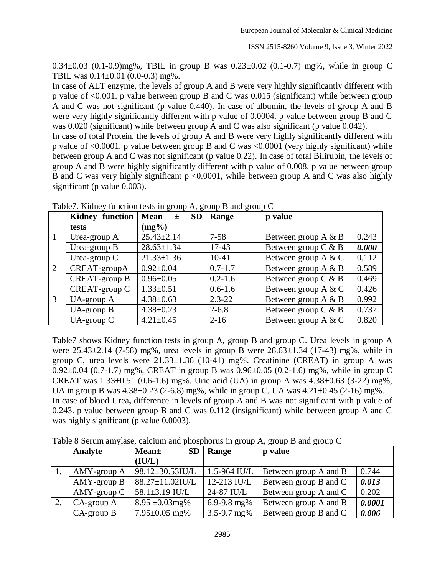0.34±0.03 (0.1-0.9)mg%, TBIL in group B was 0.23±0.02 (0.1-0.7) mg%, while in group C TBIL was 0.14±0.01 (0.0-0.3) mg%.

In case of ALT enzyme, the levels of group A and B were very highly significantly different with p value of <0.001. p value between group B and C was 0.015 (significant) while between group A and C was not significant (p value 0.440). In case of albumin, the levels of group A and B were very highly significantly different with p value of 0.0004. p value between group B and C was 0.020 (significant) while between group A and C was also significant (p value 0.042).

In case of total Protein, the levels of group A and B were very highly significantly different with p value of <0.0001. p value between group B and C was <0.0001 (very highly significant) while between group A and C was not significant (p value 0.22). In case of total Bilirubin, the levels of group A and B were highly significantly different with p value of 0.008. p value between group B and C was very highly significant  $p \le 0.0001$ , while between group A and C was also highly significant (p value 0.003).

|   | <b>Kidney function</b> | <b>SD</b><br><b>Mean</b><br>$\pm$ | Range       | p value                         |
|---|------------------------|-----------------------------------|-------------|---------------------------------|
|   | tests                  | $(mg\%)$                          |             |                                 |
|   | Urea-group A           | $25.43 \pm 2.14$                  | $7 - 58$    | 0.243<br>Between group $A \& B$ |
|   | Urea-group B           | $28.63 \pm 1.34$                  | 17-43       | Between group $C & B$<br>0.000  |
|   | Urea-group $C$         | $21.33 \pm 1.36$                  | $10-41$     | 0.112<br>Between group $A \& C$ |
| 2 | CREAT-groupA           | $0.92 \pm 0.04$                   | $0.7 - 1.7$ | 0.589<br>Between group $A \& B$ |
|   | CREAT-group B          | $0.96 \pm 0.05$                   | $0.2 - 1.6$ | 0.469<br>Between group $C & B$  |
|   | CREAT-group C          | $1.33 \pm 0.51$                   | $0.6 - 1.6$ | 0.426<br>Between group $A \& C$ |
| 3 | $UA$ -group $A$        | $4.38 \pm 0.63$                   | $2.3 - 22$  | 0.992<br>Between group $A \& B$ |
|   | $UA$ -group $B$        | $4.38 \pm 0.23$                   | $2 - 6.8$   | 0.737<br>Between group $C & B$  |
|   | $UA$ -group $C$        | $4.21 \pm 0.45$                   | $2 - 16$    | 0.820<br>Between group $A \& C$ |

Table7. Kidney function tests in group A, group B and group C

Table7 shows Kidney function tests in group A, group B and group C. Urea levels in group A were 25.43±2.14 (7-58) mg%, urea levels in group B were 28.63±1.34 (17-43) mg%, while in group C, urea levels were  $21.33\pm1.36$  (10-41) mg%. Creatinine (CREAT) in group A was 0.92±0.04 (0.7-1.7) mg%, CREAT in group B was 0.96±0.05 (0.2-1.6) mg%, while in group C CREAT was  $1.33\pm0.51$  (0.6-1.6) mg%. Uric acid (UA) in group A was  $4.38\pm0.63$  (3-22) mg%, UA in group B was  $4.38\pm0.23$  (2-6.8) mg%, while in group C, UA was  $4.21\pm0.45$  (2-16) mg%. In case of blood Urea**,** difference in levels of group A and B was not significant with p value of 0.243. p value between group B and C was 0.112 (insignificant) while between group A and C

was highly significant (p value 0.0003).

Table 8 Serum amylase, calcium and phosphorus in group A, group B and group C

|    | Analyte          | <b>SD</b><br><b>Mean</b> ± | Range            | p value               |        |
|----|------------------|----------------------------|------------------|-----------------------|--------|
|    |                  | (IU/L)                     |                  |                       |        |
| 1. | AMY-group A      | $98.12 \pm 30.53$ IU/L     | $1.5 - 964$ IU/L | Between group A and B | 0.744  |
|    | $AMY$ -group $B$ | $88.27 \pm 11.02$ IU/L     | $12-213$ IU/L    | Between group B and C | 0.013  |
|    | $AMY$ -group $C$ | 58.1 $\pm$ 3.19 IU/L       | 24-87 IU/L       | Between group A and C | 0.202  |
| 2. | $CA$ -group $A$  | $8.95 \pm 0.03$ mg%        | 6.9-9.8 mg $%$   | Between group A and B | 0.0001 |
|    | $CA$ -group $B$  | $7.95 \pm 0.05$ mg%        | $3.5 - 9.7$ mg%  | Between group B and C | 0.006  |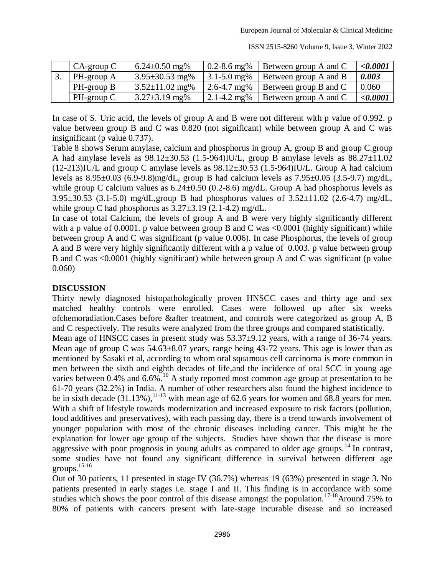| $CA$ -group $C$ | $6.24 \pm 0.50$ mg%  | $0.2 - 8.6$ mg% | Between group A and C | $<\!\!\theta.0001$ |
|-----------------|----------------------|-----------------|-----------------------|--------------------|
| PH-group A      | $3.95 \pm 30.53$ mg% | $3.1 - 5.0$ mg% | Between group A and B | 0.003              |
| PH-group B      | $3.52 \pm 11.02$ mg% | $2.6 - 4.7$ mg% | Between group B and C | 0.060              |
| $PH$ -group $C$ | $3.27 \pm 3.19$ mg%  | 2.1-4.2 mg%     | Between group A and C | < 0.0001           |

In case of S. Uric acid, the levels of group A and B were not different with p value of 0.992. p value between group B and C was 0.820 (not significant) while between group A and C was insignificant (p value 0.737).

Table 8 shows Serum amylase, calcium and phosphorus in group A, group B and group C.group A had amylase levels as  $98.12 \pm 30.53$  (1.5-964)IU/L, group B amylase levels as  $88.27 \pm 11.02$ (12-213)IU/L and group C amylase levels as 98.12±30.53 (1.5-964)IU/L. Group A had calcium levels as  $8.95\pm0.03$  (6.9-9.8)mg/dL, group B had calcium levels as  $7.95\pm0.05$  (3.5-9.7) mg/dL, while group C calcium values as  $6.24 \pm 0.50$  (0.2-8.6) mg/dL. Group A had phosphorus levels as 3.95±30.53 (3.1-5.0) mg/dL,group B had phosphorus values of 3.52±11.02 (2.6-4.7) mg/dL, while group C had phosphorus as  $3.27 \pm 3.19$  (2.1-4.2) mg/dL.

In case of total Calcium, the levels of group A and B were very highly significantly different with a p value of 0.0001. p value between group B and C was <0.0001 (highly significant) while between group A and C was significant (p value 0.006). In case Phosphorus, the levels of group A and B were very highly significantly different with a p value of 0.003. p value between group B and C was <0.0001 (highly significant) while between group A and C was significant (p value 0.060)

#### **DISCUSSION**

Thirty newly diagnosed histopathologically proven HNSCC cases and thirty age and sex matched healthy controls were enrolled. Cases were followed up after six weeks ofchemoradiation.Cases before &after treatment, and controls were categorized as group A, B and C respectively. The results were analyzed from the three groups and compared statistically.

Mean age of HNSCC cases in present study was  $53.37\pm9.12$  years, with a range of 36-74 years. Mean age of group C was  $54.63\pm8.07$  years, range being 43-72 years. This age is lower than as mentioned by Sasaki et al, according to whom oral squamous cell carcinoma is more common in men between the sixth and eighth decades of life,and the incidence of oral SCC in young age varies between 0.4% and 6.6%.<sup>10</sup> A study reported most common age group at presentation to be 61-70 years (32.2%) in India. A number of other researchers also found the highest incidence to be in sixth decade  $(31.13\%)$ ,<sup>11-13</sup> with mean age of 62.6 years for women and 68.8 years for men. With a shift of lifestyle towards modernization and increased exposure to risk factors (pollution, food additives and preservatives), with each passing day, there is a trend towards involvement of younger population with most of the chronic diseases including cancer. This might be the explanation for lower age group of the subjects. Studies have shown that the disease is more aggressive with poor prognosis in young adults as compared to older age groups.<sup>14</sup> In contrast, some studies have not found any significant difference in survival between different age groups.15-16

Out of 30 patients, 11 presented in stage IV (36.7%) whereas 19 (63%) presented in stage 3. No patients presented in early stages i.e. stage I and II. This finding is in accordance with some studies which shows the poor control of this disease amongst the population.<sup>17-18</sup>Around 75% to 80% of patients with cancers present with late-stage incurable disease and so increased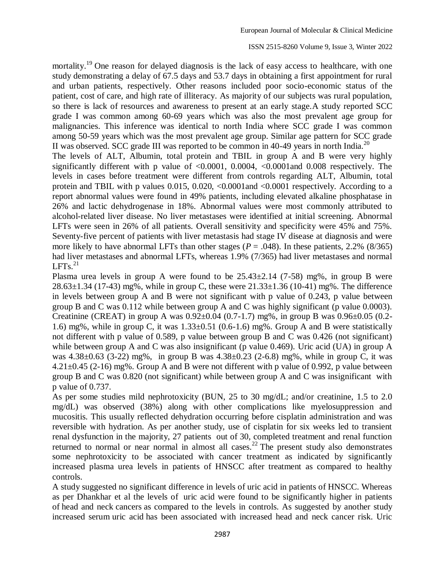mortality.<sup>19</sup> One reason for delayed diagnosis is the lack of easy access to healthcare, with one study demonstrating a delay of 67.5 days and 53.7 days in obtaining a first appointment for rural and urban patients, respectively. Other reasons included poor socio-economic status of the patient, cost of care, and high rate of illiteracy. As majority of our subjects was rural population, so there is lack of resources and awareness to present at an early stage.A study reported SCC grade I was common among 60-69 years which was also the most prevalent age group for malignancies. This inference was identical to north India where SCC grade I was common among 50-59 years which was the most prevalent age group. Similar age pattern for SCC grade II was observed. SCC grade III was reported to be common in 40-49 years in north India.<sup>20</sup>

The levels of ALT, Albumin, total protein and TBIL in group A and B were very highly significantly different with p value of  $\langle 0.0001, 0.0004, \langle 0.0001 \rangle$  and 0.008 respectively. The levels in cases before treatment were different from controls regarding ALT, Albumin, total protein and TBIL with p values 0.015, 0.020, <0.0001and <0.0001 respectively. According to a report abnormal values were found in 49% patients, including elevated alkaline phosphatase in 26% and lactic dehydrogenase in 18%. Abnormal values were most commonly attributed to alcohol-related liver disease. No liver metastases were identified at initial screening. Abnormal LFTs were seen in 26% of all patients. Overall sensitivity and specificity were 45% and 75%. Seventy-five percent of patients with liver metastasis had stage IV disease at diagnosis and were more likely to have abnormal LFTs than other stages ( $P = .048$ ). In these patients, 2.2% (8/365) had liver metastases and abnormal LFTs, whereas 1.9% (7/365) had liver metastases and normal  $LFTs.<sup>21</sup>$ 

Plasma urea levels in group A were found to be  $25.43\pm2.14$  (7-58) mg%, in group B were  $28.63 \pm 1.34$  (17-43) mg%, while in group C, these were  $21.33 \pm 1.36$  (10-41) mg%. The difference in levels between group A and B were not significant with p value of 0.243, p value between group B and C was 0.112 while between group A and C was highly significant (p value 0.0003). Creatinine (CREAT) in group A was  $0.92 \pm 0.04$  (0.7-1.7) mg%, in group B was  $0.96 \pm 0.05$  (0.2-1.6) mg%, while in group C, it was  $1.33\pm0.51$  (0.6-1.6) mg%. Group A and B were statistically not different with p value of 0.589, p value between group B and C was 0.426 (not significant) while between group A and C was also insignificant (p value 0.469). Uric acid (UA) in group A was 4.38±0.63 (3-22) mg%, in group B was 4.38±0.23 (2-6.8) mg%, while in group C, it was  $4.21\pm0.45$  (2-16) mg%. Group A and B were not different with p value of 0.992, p value between group B and C was 0.820 (not significant) while between group A and C was insignificant with p value of 0.737.

As per some studies mild nephrotoxicity (BUN, 25 to 30 mg/dL; and/or creatinine, 1.5 to 2.0 mg/dL) was observed (38%) along with other complications like myelosuppression and mucositis. This usually reflected dehydration occurring before cisplatin administration and was reversible with hydration. As per another study, use of cisplatin for six weeks led to transient renal dysfunction in the majority, 27 patients out of 30, completed treatment and renal function returned to normal or near normal in almost all cases.<sup>22</sup> The present study also demonstrates some nephrotoxicity to be associated with cancer treatment as indicated by significantly increased plasma urea levels in patients of HNSCC after treatment as compared to healthy controls.

A study suggested no significant difference in levels of uric acid in patients of HNSCC. Whereas as per Dhankhar et al the levels of uric acid were found to be significantly higher in patients of head and neck cancers as compared to the levels in controls. As suggested by another study increased serum uric acid has been associated with increased head and neck cancer risk. Uric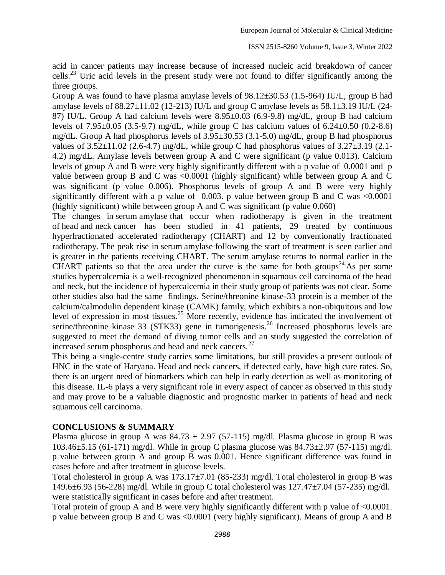acid in cancer patients may increase because of increased nucleic acid breakdown of cancer cells.<sup>23</sup> Uric acid levels in the present study were not found to differ significantly among the three groups.

Group A was found to have plasma amylase levels of 98.12±30.53 (1.5-964) IU/L, group B had amylase levels of  $88.27 \pm 11.02$  (12-213) IU/L and group C amylase levels as  $58.1 \pm 3.19$  IU/L (24-87) IU/L. Group A had calcium levels were 8.95±0.03 (6.9-9.8) mg/dL, group B had calcium levels of  $7.95\pm0.05$  (3.5-9.7) mg/dL, while group C has calcium values of  $6.24\pm0.50$  (0.2-8.6) mg/dL. Group A had phosphorus levels of  $3.95\pm30.53$  (3.1-5.0) mg/dL, group B had phosphorus values of  $3.52\pm11.02$  (2.6-4.7) mg/dL, while group C had phosphorus values of  $3.27\pm3.19$  (2.1-4.2) mg/dL. Amylase levels between group A and C were significant (p value 0.013). Calcium levels of group A and B were very highly significantly different with a p value of 0.0001 and p value between group B and C was <0.0001 (highly significant) while between group A and C was significant (p value 0.006). Phosphorus levels of group A and B were very highly significantly different with a p value of  $0.003$ . p value between group B and C was <0.0001 (highly significant) while between group A and C was significant (p value  $0.060$ )

The changes in serum amylase that occur when radiotherapy is given in the treatment of head and neck cancer has been studied in 41 patients, 29 treated by continuous hyperfractionated accelerated radiotherapy (CHART) and 12 by conventionally fractionated radiotherapy. The peak rise in serum amylase following the start of treatment is seen earlier and is greater in the patients receiving CHART. The serum amylase returns to normal earlier in the CHART patients so that the area under the curve is the same for both groups<sup>24</sup> As per some studies hypercalcemia is a well-recognized phenomenon in squamous cell carcinoma of the head and neck, but the incidence of hypercalcemia in their study group of patients was not clear. Some other studies also had the same findings. Serine/threonine kinase-33 protein is a member of the calcium/calmodulin dependent kinase (CAMK) family, which exhibits a non-ubiquitous and low level of expression in most tissues.<sup>25</sup> More recently, evidence has indicated the involvement of serine/threonine kinase 33 (STK33) gene in tumorigenesis.<sup>26</sup> Increased phosphorus levels are suggested to meet the demand of diving tumor cells and an study suggested the correlation of increased serum phosphorus and head and neck cancers.<sup>27</sup>

This being a single-centre study carries some limitations, but still provides a present outlook of HNC in the state of Haryana. Head and neck cancers, if detected early, have high cure rates. So, there is an urgent need of biomarkers which can help in early detection as well as monitoring of this disease. IL-6 plays a very significant role in every aspect of cancer as observed in this study and may prove to be a valuable diagnostic and prognostic marker in patients of head and neck squamous cell carcinoma.

## **CONCLUSIONS & SUMMARY**

Plasma glucose in group A was  $84.73 \pm 2.97$  (57-115) mg/dl. Plasma glucose in group B was 103.46±5.15 (61-171) mg/dl. While in group C plasma glucose was 84.73±2.97 (57-115) mg/dl. p value between group A and group B was 0.001. Hence significant difference was found in cases before and after treatment in glucose levels.

Total cholesterol in group A was 173.17±7.01 (85-233) mg/dl. Total cholesterol in group B was 149.6±6.93 (56-228) mg/dl. While in group C total cholesterol was 127.47±7.04 (57-235) mg/dl. were statistically significant in cases before and after treatment.

Total protein of group A and B were very highly significantly different with p value of <0.0001. p value between group B and C was <0.0001 (very highly significant). Means of group A and B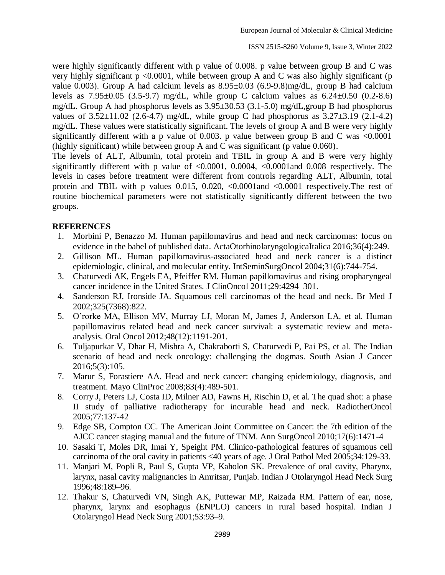were highly significantly different with p value of 0.008. p value between group B and C was very highly significant  $p \le 0.0001$ , while between group A and C was also highly significant (p value 0.003). Group A had calcium levels as  $8.95\pm0.03$  (6.9-9.8)mg/dL, group B had calcium levels as  $7.95\pm0.05$  (3.5-9.7) mg/dL, while group C calcium values as  $6.24\pm0.50$  (0.2-8.6) mg/dL. Group A had phosphorus levels as 3.95±30.53 (3.1-5.0) mg/dL,group B had phosphorus values of  $3.52\pm11.02$  (2.6-4.7) mg/dL, while group C had phosphorus as  $3.27\pm3.19$  (2.1-4.2) mg/dL. These values were statistically significant. The levels of group A and B were very highly significantly different with a p value of 0.003. p value between group B and C was  $\leq 0.0001$ (highly significant) while between group A and C was significant (p value  $0.060$ ).

The levels of ALT, Albumin, total protein and TBIL in group A and B were very highly significantly different with p value of  $\langle 0.0001, 0.0004, \langle 0.0001 \rangle$  and 0.008 respectively. The levels in cases before treatment were different from controls regarding ALT, Albumin, total protein and TBIL with p values  $0.015$ ,  $0.020$ ,  $\langle 0.0001$  and  $\langle 0.0001$  respectively. The rest of routine biochemical parameters were not statistically significantly different between the two groups.

#### **REFERENCES**

- 1. Morbini P, Benazzo M. Human papillomavirus and head and neck carcinomas: focus on evidence in the babel of published data. ActaOtorhinolaryngologicaItalica 2016;36(4):249.
- 2. Gillison ML. Human papillomavirus-associated head and neck cancer is a distinct epidemiologic, clinical, and molecular entity. IntSeminSurgOncol 2004;31(6):744-754.
- 3. Chaturvedi AK, Engels EA, Pfeiffer RM. Human papillomavirus and rising oropharyngeal cancer incidence in the United States. J ClinOncol 2011;29:4294–301.
- 4. Sanderson RJ, Ironside JA. Squamous cell carcinomas of the head and neck. Br Med J 2002;325(7368):822.
- 5. O'rorke MA, Ellison MV, Murray LJ, Moran M, James J, Anderson LA, et al. Human papillomavirus related head and neck cancer survival: a systematic review and metaanalysis. Oral Oncol 2012;48(12):1191-201.
- 6. Tuljapurkar V, Dhar H, Mishra A, Chakraborti S, Chaturvedi P, Pai PS, et al. The Indian scenario of head and neck oncology: challenging the dogmas. South Asian J Cancer 2016;5(3):105.
- 7. Marur S, Forastiere AA. Head and neck cancer: changing epidemiology, diagnosis, and treatment. Mayo ClinProc 2008;83(4):489-501.
- 8. Corry J, Peters LJ, Costa ID, Milner AD, Fawns H, Rischin D, et al. The quad shot: a phase II study of palliative radiotherapy for incurable head and neck. RadiotherOncol 2005;77:137-42
- 9. Edge SB, Compton CC. The American Joint Committee on Cancer: the 7th edition of the AJCC cancer staging manual and the future of TNM. Ann SurgOncol 2010;17(6):1471-4
- 10. Sasaki T, Moles DR, Imai Y, Speight PM. Clinico-pathological features of squamous cell carcinoma of the oral cavity in patients <40 years of age. J Oral Pathol Med 2005;34:129-33.
- 11. Manjari M, Popli R, Paul S, Gupta VP, Kaholon SK. Prevalence of oral cavity, Pharynx, larynx, nasal cavity malignancies in Amritsar, Punjab. Indian J Otolaryngol Head Neck Surg 1996;48:189–96.
- 12. Thakur S, Chaturvedi VN, Singh AK, Puttewar MP, Raizada RM. Pattern of ear, nose, pharynx, larynx and esophagus (ENPLO) cancers in rural based hospital. Indian J Otolaryngol Head Neck Surg 2001;53:93–9.